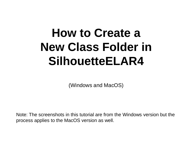# **How to Create a New Class Folder in SilhouetteELAR4**

(Windows and MacOS)

Note: The screenshots in this tutorial are from the Windows version but the process applies to the MacOS version as well.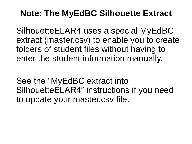## **Note: The MyEdBC Silhouette Extract**

SilhouetteELAR4 uses a special MyEdBC extract (master.csv) to enable you to create folders of student files without having to enter the student information manually.

See the "MyEdBC extract into SilhouetteELAR4" instructions if you need to update your master.csv file.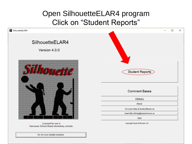### Open SilhouetteELAR4 program Click on "Student Reports"

| 4 SilhouetteELAR4   | $\times$<br>$\Box$                |
|---------------------|-----------------------------------|
| SilhouetteELAR4     |                                   |
| Version 4.0.0       |                                   |
|                     | Student Reports                   |
|                     | <b>Comment Bases</b>              |
|                     | <b>Utilities</b>                  |
|                     | About                             |
|                     | On-Line Help at duets oftware.ca  |
|                     | Email SilELARHelp@duetsoftware.ca |
|                     | Quit                              |
| Licensed for use in | copyright Duet Software, Inc.     |

Licensed for use in Vancouver School Board elementary schools.

No On-Line Update Available.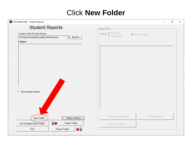#### Click **New Folder**

| 4. SilhouetteELAR4 - Student Reports                                                                                              |                                      |                                        | $\Box$ |
|-----------------------------------------------------------------------------------------------------------------------------------|--------------------------------------|----------------------------------------|--------|
| <b>Student Reports</b>                                                                                                            | -Student Files:-                     |                                        |        |
| Location of ELAR class folders:<br>Browse<br>C:\ProgramData\SilhouetteELAR4\Classes<br>$\overline{\mathbf{v}}$<br><b>Folders:</b> | Sort by: C Surnames<br>C First Names | $\boxed{\triangleright}$ and by Grades |        |
|                                                                                                                                   |                                      |                                        |        |
|                                                                                                                                   |                                      |                                        |        |
|                                                                                                                                   |                                      |                                        |        |
|                                                                                                                                   |                                      |                                        |        |
|                                                                                                                                   |                                      |                                        |        |
| □ Show hidden folders                                                                                                             |                                      |                                        |        |
|                                                                                                                                   |                                      |                                        |        |
|                                                                                                                                   |                                      |                                        |        |
| <b>Folders Utilities</b><br>New Folder                                                                                            | Create New Student file              | Edit Report Data                       |        |
| 6.<br>Import Folder<br>Get Emailed Class Folder                                                                                   | <b>Batch Print Reports</b>           |                                        |        |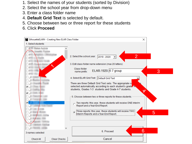- 1. Select the names of your students (sorted by Division)
- 2. Select the school year from drop-down menu
- 3. Enter a class folder name
- 4. **Default Grid Text** is selected by default.
- 5. Choose between two or three report for these students
- 6. Click **Proceed**

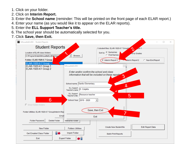1. Click on your folder.

- 2. Click on **Interim Report.**
- 3. Enter the **School name** (reminder: This will be printed on the front page of each ELAR report.)
- 4. Enter your name (as you would like it to appear on the ELAR reports).
- 5. Enter the **ELL Support Teacher's title.**
- 6. The school year should be automatically selected for you.
- 7. Click **Save, then Exit.**